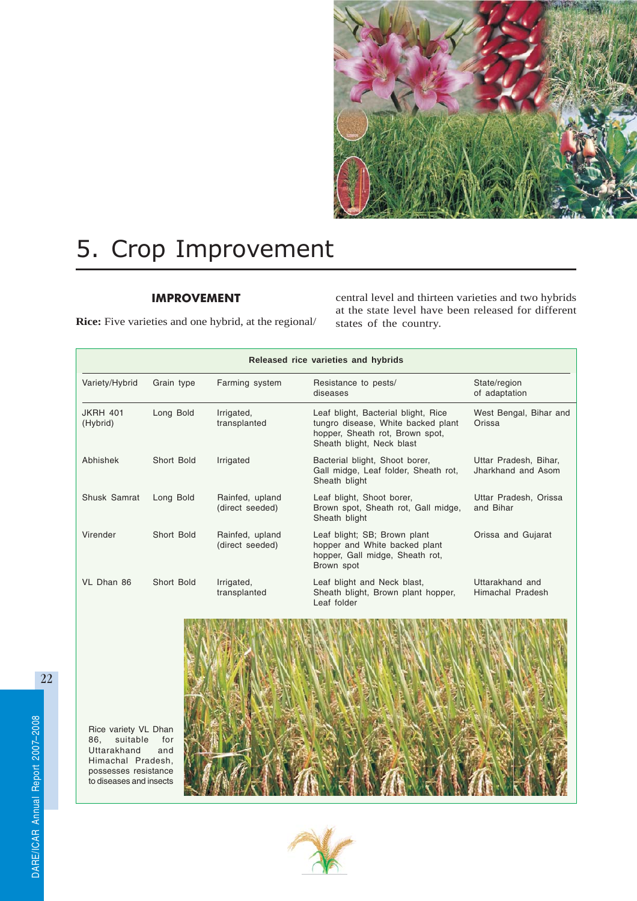

# 5. Crop Improvement

# IMPROVEMENT

**Rice:** Five varieties and one hybrid, at the regional/

central level and thirteen varieties and two hybrids at the state level have been released for different states of the country.

|                             | Released rice varieties and hybrids |                                    |                                                                                                                                           |                                             |  |
|-----------------------------|-------------------------------------|------------------------------------|-------------------------------------------------------------------------------------------------------------------------------------------|---------------------------------------------|--|
| Variety/Hybrid              | Grain type                          | Farming system                     | Resistance to pests/<br>diseases                                                                                                          | State/region<br>of adaptation               |  |
| <b>JKRH 401</b><br>(Hybrid) | Long Bold                           | Irrigated,<br>transplanted         | Leaf blight, Bacterial blight, Rice<br>tungro disease, White backed plant<br>hopper, Sheath rot, Brown spot,<br>Sheath blight, Neck blast | West Bengal, Bihar and<br>Orissa            |  |
| Abhishek                    | Short Bold                          | Irrigated                          | Bacterial blight, Shoot borer,<br>Gall midge, Leaf folder, Sheath rot,<br>Sheath blight                                                   | Uttar Pradesh, Bihar,<br>Jharkhand and Asom |  |
| Shusk Samrat                | Long Bold                           | Rainfed, upland<br>(direct seeded) | Leaf blight, Shoot borer,<br>Brown spot, Sheath rot, Gall midge,<br>Sheath blight                                                         | Uttar Pradesh, Orissa<br>and Bihar          |  |
| Virender                    | Short Bold                          | Rainfed, upland<br>(direct seeded) | Leaf blight; SB; Brown plant<br>hopper and White backed plant<br>hopper, Gall midge, Sheath rot,<br>Brown spot                            | Orissa and Gujarat                          |  |
| VL Dhan 86                  | Short Bold                          | Irrigated,<br>transplanted         | Leaf blight and Neck blast,<br>Sheath blight, Brown plant hopper,<br>Leaf folder                                                          | Uttarakhand and<br>Himachal Pradesh         |  |

Rice variety VL Dhan 86, suitable for Uttarakhand and Himachal Pradesh, possesses resistance to diseases and insects



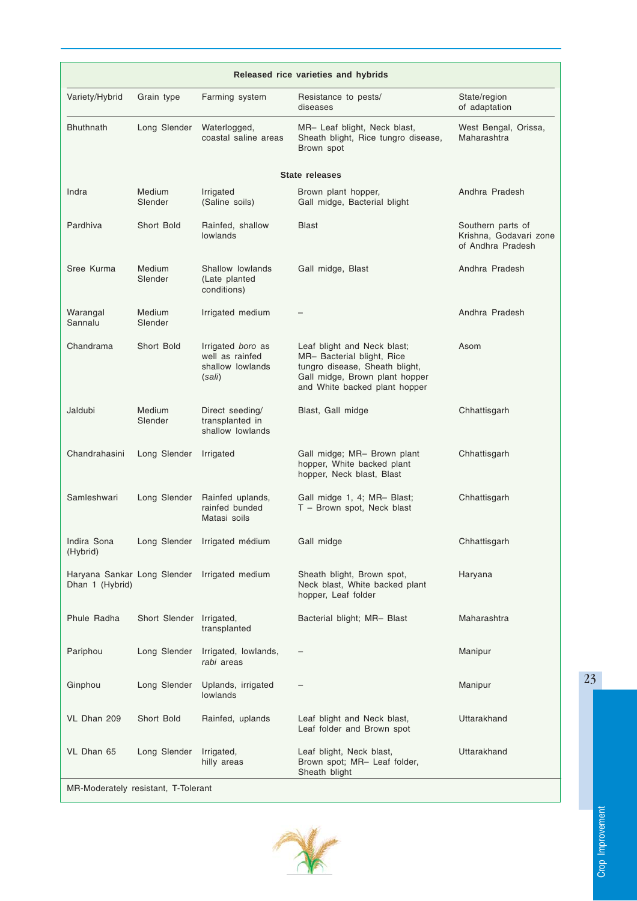| Released rice varieties and hybrids |                          |                                                                    |                                                                                                                                                                |                                                                  |
|-------------------------------------|--------------------------|--------------------------------------------------------------------|----------------------------------------------------------------------------------------------------------------------------------------------------------------|------------------------------------------------------------------|
| Variety/Hybrid                      | Grain type               | Farming system                                                     | Resistance to pests/<br>diseases                                                                                                                               | State/region<br>of adaptation                                    |
| <b>Bhuthnath</b>                    | Long Slender             | Waterlogged,<br>coastal saline areas                               | MR- Leaf blight, Neck blast,<br>Sheath blight, Rice tungro disease,<br>Brown spot                                                                              | West Bengal, Orissa,<br>Maharashtra                              |
|                                     |                          |                                                                    | <b>State releases</b>                                                                                                                                          |                                                                  |
| Indra                               | <b>Medium</b><br>Slender | Irrigated<br>(Saline soils)                                        | Brown plant hopper,<br>Gall midge, Bacterial blight                                                                                                            | Andhra Pradesh                                                   |
| Pardhiva                            | Short Bold               | Rainfed, shallow<br>lowlands                                       | <b>Blast</b>                                                                                                                                                   | Southern parts of<br>Krishna, Godavari zone<br>of Andhra Pradesh |
| Sree Kurma                          | <b>Medium</b><br>Slender | Shallow lowlands<br>(Late planted<br>conditions)                   | Gall midge, Blast                                                                                                                                              | Andhra Pradesh                                                   |
| Warangal<br>Sannalu                 | <b>Medium</b><br>Slender | Irrigated medium                                                   |                                                                                                                                                                | Andhra Pradesh                                                   |
| Chandrama                           | Short Bold               | Irrigated boro as<br>well as rainfed<br>shallow lowlands<br>(sali) | Leaf blight and Neck blast;<br>MR- Bacterial blight, Rice<br>tungro disease, Sheath blight,<br>Gall midge, Brown plant hopper<br>and White backed plant hopper | Asom                                                             |
| Jaldubi                             | <b>Medium</b><br>Slender | Direct seeding/<br>transplanted in<br>shallow lowlands             | Blast, Gall midge                                                                                                                                              | Chhattisgarh                                                     |
| Chandrahasini                       | Long Slender             | Irrigated                                                          | Gall midge; MR- Brown plant<br>hopper, White backed plant<br>hopper, Neck blast, Blast                                                                         | Chhattisgarh                                                     |
| Samleshwari                         | Long Slender             | Rainfed uplands,<br>rainfed bunded<br>Matasi soils                 | Gall midge 1, 4; MR- Blast;<br>T - Brown spot, Neck blast                                                                                                      | Chhattisgarh                                                     |
| Indira Sona<br>(Hybrid)             |                          | Long Slender Irrigated médium                                      | Gall midge                                                                                                                                                     | Chhattisgarh                                                     |
| Dhan 1 (Hybrid)                     |                          | Haryana Sankar Long Slender Irrigated medium                       | Sheath blight, Brown spot,<br>Neck blast, White backed plant<br>hopper, Leaf folder                                                                            | Haryana                                                          |
| Phule Radha                         | Short Slender Irrigated, | transplanted                                                       | Bacterial blight; MR- Blast                                                                                                                                    | Maharashtra                                                      |
| Pariphou                            | Long Slender             | Irrigated, lowlands,<br>rabi areas                                 |                                                                                                                                                                | Manipur                                                          |
| Ginphou                             | Long Slender             | Uplands, irrigated<br>lowlands                                     |                                                                                                                                                                | Manipur                                                          |
| VL Dhan 209                         | Short Bold               | Rainfed, uplands                                                   | Leaf blight and Neck blast,<br>Leaf folder and Brown spot                                                                                                      | Uttarakhand                                                      |
| VL Dhan 65                          | Long Slender             | Irrigated,<br>hilly areas                                          | Leaf blight, Neck blast,<br>Brown spot; MR- Leaf folder,<br>Sheath blight                                                                                      | Uttarakhand                                                      |
| MR-Moderately resistant, T-Tolerant |                          |                                                                    |                                                                                                                                                                |                                                                  |

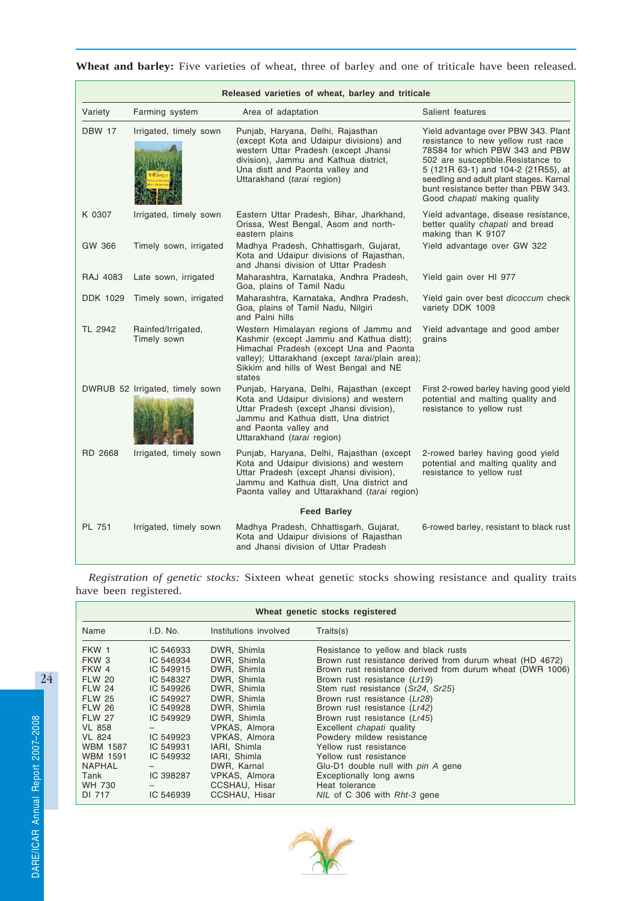|                 | Released varieties of wheat, barley and triticale |                                                                                                                                                                                                                                      |                                                                                                                                                                                                                                                                                                             |  |  |  |
|-----------------|---------------------------------------------------|--------------------------------------------------------------------------------------------------------------------------------------------------------------------------------------------------------------------------------------|-------------------------------------------------------------------------------------------------------------------------------------------------------------------------------------------------------------------------------------------------------------------------------------------------------------|--|--|--|
| Variety         | Farming system                                    | Area of adaptation                                                                                                                                                                                                                   | Salient features                                                                                                                                                                                                                                                                                            |  |  |  |
| <b>DBW 17</b>   | Irrigated, timely sown                            | Punjab, Haryana, Delhi, Rajasthan<br>(except Kota and Udaipur divisions) and<br>western Uttar Pradesh (except Jhansi<br>division), Jammu and Kathua district,<br>Una distt and Paonta valley and<br>Uttarakhand (tarai region)       | Yield advantage over PBW 343. Plant<br>resistance to new yellow rust race<br>78S84 for which PBW 343 and PBW<br>502 are susceptible. Resistance to<br>5 (121R 63-1) and 104-2 (21R55), at<br>seedling and adult plant stages. Karnal<br>bunt resistance better than PBW 343.<br>Good chapati making quality |  |  |  |
| K 0307          | Irrigated, timely sown                            | Eastern Uttar Pradesh, Bihar, Jharkhand,<br>Orissa, West Bengal, Asom and north-<br>eastern plains                                                                                                                                   | Yield advantage, disease resistance,<br>better quality chapati and bread<br>making than K 9107                                                                                                                                                                                                              |  |  |  |
| GW 366          | Timely sown, irrigated                            | Madhya Pradesh, Chhattisgarh, Gujarat,<br>Kota and Udaipur divisions of Rajasthan,<br>and Jhansi division of Uttar Pradesh                                                                                                           | Yield advantage over GW 322                                                                                                                                                                                                                                                                                 |  |  |  |
| RAJ 4083        | Late sown, irrigated                              | Maharashtra, Karnataka, Andhra Pradesh,<br>Goa, plains of Tamil Nadu                                                                                                                                                                 | Yield gain over HI 977                                                                                                                                                                                                                                                                                      |  |  |  |
| <b>DDK 1029</b> | Timely sown, irrigated                            | Maharashtra, Karnataka, Andhra Pradesh,<br>Goa, plains of Tamil Nadu, Nilgiri<br>and Palni hills                                                                                                                                     | Yield gain over best dicoccum check<br>variety DDK 1009                                                                                                                                                                                                                                                     |  |  |  |
| TL 2942         | Rainfed/Irrigated,<br>Timely sown                 | Western Himalayan regions of Jammu and<br>Kashmir (except Jammu and Kathua distt);<br>Himachal Pradesh (except Una and Paonta<br>valley); Uttarakhand (except tarai/plain area);<br>Sikkim and hills of West Bengal and NE<br>states | Yield advantage and good amber<br>grains                                                                                                                                                                                                                                                                    |  |  |  |
|                 | DWRUB 52 Irrigated, timely sown                   | Punjab, Haryana, Delhi, Rajasthan (except<br>Kota and Udaipur divisions) and western<br>Uttar Pradesh (except Jhansi division),<br>Jammu and Kathua distt, Una district<br>and Paonta valley and<br>Uttarakhand (tarai region)       | First 2-rowed barley having good yield<br>potential and malting quality and<br>resistance to yellow rust                                                                                                                                                                                                    |  |  |  |
| RD 2668         | Irrigated, timely sown                            | Punjab, Haryana, Delhi, Rajasthan (except<br>Kota and Udaipur divisions) and western<br>Uttar Pradesh (except Jhansi division),<br>Jammu and Kathua distt, Una district and<br>Paonta valley and Uttarakhand (tarai region)          | 2-rowed barley having good yield<br>potential and malting quality and<br>resistance to yellow rust                                                                                                                                                                                                          |  |  |  |
|                 |                                                   | <b>Feed Barley</b>                                                                                                                                                                                                                   |                                                                                                                                                                                                                                                                                                             |  |  |  |
| PL 751          | Irrigated, timely sown                            | Madhya Pradesh, Chhattisgarh, Gujarat,<br>Kota and Udaipur divisions of Rajasthan<br>and Jhansi division of Uttar Pradesh                                                                                                            | 6-rowed barley, resistant to black rust                                                                                                                                                                                                                                                                     |  |  |  |

Wheat and barley: Five varieties of wheat, three of barley and one of triticale have been released.

*Registration of genetic stocks:* Sixteen wheat genetic stocks showing resistance and quality traits have been registered.

| Wheat genetic stocks registered |           |                       |                                                           |  |
|---------------------------------|-----------|-----------------------|-----------------------------------------------------------|--|
| Name                            | I.D. No.  | Institutions involved | Traits(s)                                                 |  |
| FKW 1                           | IC 546933 | DWR, Shimla           | Resistance to yellow and black rusts                      |  |
| FKW <sub>3</sub>                | IC 546934 | DWR. Shimla           | Brown rust resistance derived from durum wheat (HD 4672)  |  |
| FKW 4                           | IC 549915 | DWR, Shimla           | Brown rust resistance derived from durum wheat (DWR 1006) |  |
| <b>FLW 20</b>                   | IC 548327 | DWR. Shimla           | Brown rust resistance (Lr19)                              |  |
| <b>FLW 24</b>                   | IC 549926 | DWR. Shimla           | Stem rust resistance (Sr24, Sr25)                         |  |
| <b>FLW 25</b>                   | IC 549927 | DWR, Shimla           | Brown rust resistance (Lr28)                              |  |
| <b>FLW 26</b>                   | IC 549928 | DWR. Shimla           | Brown rust resistance (Lr42)                              |  |
| <b>FLW 27</b>                   | IC 549929 | DWR, Shimla           | Brown rust resistance (Lr45)                              |  |
| <b>VL 858</b>                   |           | VPKAS, Almora         | Excellent <i>chapati</i> quality                          |  |
| <b>VL 824</b>                   | IC 549923 | VPKAS, Almora         | Powdery mildew resistance                                 |  |
| <b>WBM 1587</b>                 | IC 549931 | IARI, Shimla          | Yellow rust resistance                                    |  |
| <b>WBM 1591</b>                 | IC 549932 | IARI, Shimla          | Yellow rust resistance                                    |  |
| <b>NAPHAL</b>                   |           | DWR, Karnal           | Glu-D1 double null with pin A gene                        |  |
| Tank                            | IC 398287 | VPKAS, Almora         | Exceptionally long awns                                   |  |
| WH 730                          |           | CCSHAU, Hisar         | Heat tolerance                                            |  |
| DI 717                          | IC 546939 | CCSHAU, Hisar         | NIL of C 306 with Rht-3 gene                              |  |

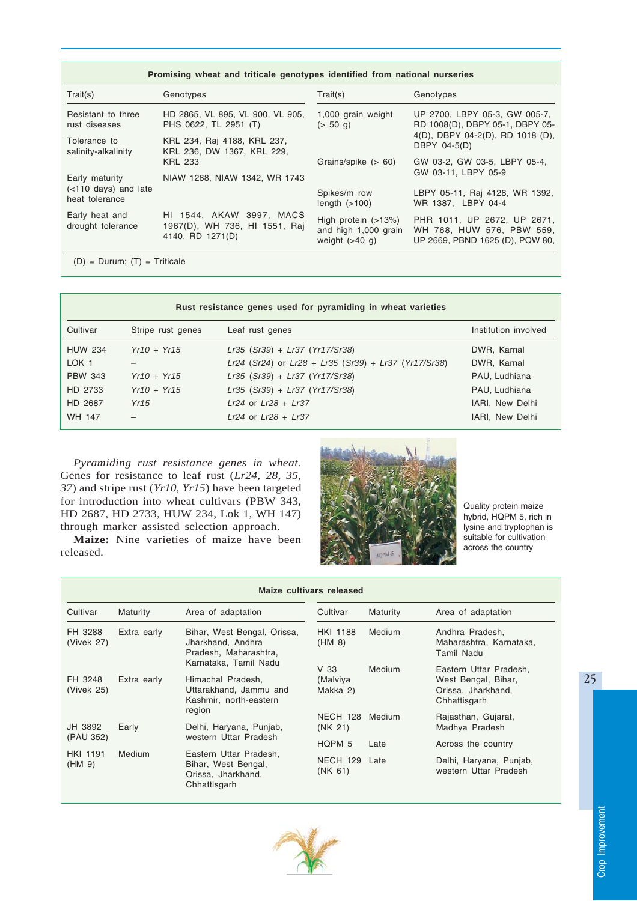| Promising wheat and triticale genotypes identified from national nurseries |                                                                               |                                                                   |                                                                                             |  |
|----------------------------------------------------------------------------|-------------------------------------------------------------------------------|-------------------------------------------------------------------|---------------------------------------------------------------------------------------------|--|
| Train(s)                                                                   | Genotypes                                                                     | Train(s)                                                          | Genotypes                                                                                   |  |
| Resistant to three<br>rust diseases                                        | HD 2865, VL 895, VL 900, VL 905,<br>PHS 0622, TL 2951 (T)                     | 1,000 grain weight<br>$(> 50 \text{ q})$                          | UP 2700, LBPY 05-3, GW 005-7,<br>RD 1008(D), DBPY 05-1, DBPY 05-                            |  |
| Tolerance to<br>salinity-alkalinity                                        | KRL 234, Raj 4188, KRL 237,<br>KRL 236, DW 1367, KRL 229,                     |                                                                   | 4(D), DBPY 04-2(D), RD 1018 (D),<br>DBPY 04-5(D)                                            |  |
|                                                                            | <b>KRL 233</b>                                                                | Grains/spike $(> 60)$                                             | GW 03-2, GW 03-5, LBPY 05-4,<br>GW 03-11, LBPY 05-9                                         |  |
| Early maturity                                                             | NIAW 1268, NIAW 1342, WR 1743                                                 |                                                                   |                                                                                             |  |
| (<110 days) and late<br>heat tolerance                                     |                                                                               | Spikes/m row<br>length $(>100)$                                   | LBPY 05-11, Raj 4128, WR 1392,<br>WR 1387. LBPY 04-4                                        |  |
| Early heat and<br>drought tolerance                                        | HI 1544, AKAW 3997, MACS<br>1967(D), WH 736, HI 1551, Raj<br>4140, RD 1271(D) | High protein $(>13%)$<br>and high 1,000 grain<br>weight $(>40$ g) | PHR 1011, UP 2672, UP 2671,<br>WH 768, HUW 576, PBW 559,<br>UP 2669, PBND 1625 (D), PQW 80, |  |
| $(D) = Durum$ ; $(T) = Triticale$                                          |                                                                               |                                                                   |                                                                                             |  |

| Rust resistance genes used for pyramiding in wheat varieties |                   |                                                      |                      |  |
|--------------------------------------------------------------|-------------------|------------------------------------------------------|----------------------|--|
| Cultivar                                                     | Stripe rust genes | Leaf rust genes                                      | Institution involved |  |
| <b>HUW 234</b>                                               | $Yr10 + Yr15$     | $Lr35$ (Sr39) + $Lr37$ (Yr17/Sr38)                   | DWR, Karnal          |  |
| LOK <sub>1</sub>                                             |                   | Lr24 (Sr24) or Lr28 + Lr35 (Sr39) + Lr37 (Yr17/Sr38) | DWR, Karnal          |  |
| <b>PBW 343</b>                                               | $Yr10 + Yr15$     | $Lr35$ (Sr39) + $Lr37$ (Yr17/Sr38)                   | PAU, Ludhiana        |  |
| HD 2733                                                      | $Yr10 + Yr15$     | Lr35 (Sr39) + Lr37 (Yr17/Sr38)                       | PAU, Ludhiana        |  |
| HD 2687                                                      | Yr15              | $Lr24$ or $Lr28 + Lr37$                              | IARI, New Delhi      |  |
| <b>WH 147</b>                                                |                   | $Lr24$ or $Lr28 + Lr37$                              | IARI, New Delhi      |  |

*Pyramiding rust resistance genes in wheat.* Genes for resistance to leaf rust (*Lr24, 28, 35, 37*) and stripe rust (*Yr10, Yr15*) have been targeted for introduction into wheat cultivars (PBW 343, HD 2687, HD 2733, HUW 234, Lok 1, WH 147) through marker assisted selection approach.

**Maize:** Nine varieties of maize have been released.



Quality protein maize hybrid, HQPM 5, rich in lysine and tryptophan is suitable for cultivation across the country

| Maize cultivars released  |             |                                                                                                |                                         |          |                                                                                     |
|---------------------------|-------------|------------------------------------------------------------------------------------------------|-----------------------------------------|----------|-------------------------------------------------------------------------------------|
| Cultivar                  | Maturity    | Area of adaptation                                                                             | Cultivar                                | Maturity | Area of adaptation                                                                  |
| FH 3288<br>(Vivek 27)     | Extra early | Bihar, West Bengal, Orissa,<br>Jharkhand, Andhra<br>Pradesh, Maharashtra,                      | <b>HKI 1188</b><br>(HM 8)               | Medium   | Andhra Pradesh,<br>Maharashtra, Karnataka,<br>Tamil Nadu                            |
| FH 3248<br>(Vivek 25)     | Extra early | Karnataka, Tamil Nadu<br>Himachal Pradesh.<br>Uttarakhand, Jammu and<br>Kashmir, north-eastern | V <sub>33</sub><br>(Malviya<br>Makka 2) | Medium   | Eastern Uttar Pradesh,<br>West Bengal, Bihar,<br>Orissa, Jharkhand,<br>Chhattisgarh |
| JH 3892                   | Early       | region<br>Delhi, Haryana, Punjab,                                                              | NECH 128<br>(NK 21)                     | Medium   | Rajasthan, Gujarat,<br>Madhya Pradesh                                               |
| (PAU 352)                 |             | western Uttar Pradesh                                                                          | HOPM <sub>5</sub>                       | Late     | Across the country                                                                  |
| <b>HKI 1191</b><br>(HM 9) | Medium      | Eastern Uttar Pradesh,<br>Bihar, West Bengal,<br>Orissa, Jharkhand,<br>Chhattisgarh            | NECH 129 Late<br>(NK 61)                |          | Delhi, Haryana, Punjab,<br>western Uttar Pradesh                                    |

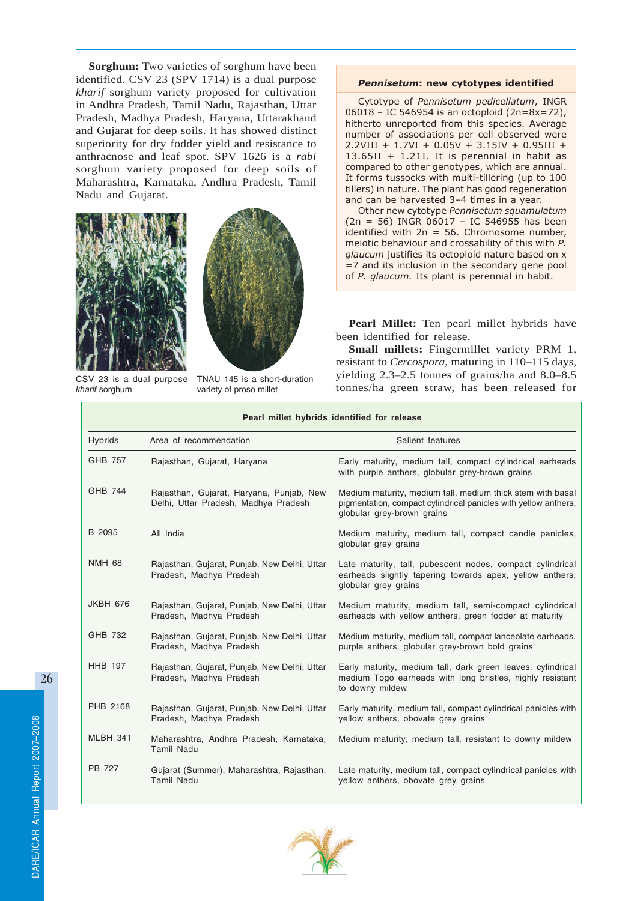**Sorghum:** Two varieties of sorghum have been identified. CSV 23 (SPV 1714) is a dual purpose *kharif* sorghum variety proposed for cultivation in Andhra Pradesh, Tamil Nadu, Rajasthan, Uttar Pradesh, Madhya Pradesh, Haryana, Uttarakhand and Gujarat for deep soils. It has showed distinct superiority for dry fodder yield and resistance to anthracnose and leaf spot. SPV 1626 is a *rabi* sorghum variety proposed for deep soils of Maharashtra, Karnataka, Andhra Pradesh, Tamil Nadu and Gujarat.





CSV 23 is a dual purpose *kharif* sorghum

TNAU 145 is a short-duration variety of proso millet

#### Pennisetum: new cytotypes identified

Cytotype of Pennisetum pedicellatum, INGR 06018 – IC 546954 is an octoploid (2n=8x=72), hitherto unreported from this species. Average number of associations per cell observed were 2.2VIII + 1.7VI + 0.05V + 3.15IV + 0.95III +  $13.65$ II + 1.21I. It is perennial in habit as compared to other genotypes, which are annual. It forms tussocks with multi-tillering (up to 100 tillers) in nature. The plant has good regeneration and can be harvested 3–4 times in a year.

Other new cytotype Pennisetum squamulatum  $(2n = 56)$  INGR 06017 - IC 546955 has been identified with  $2n = 56$ . Chromosome number, meiotic behaviour and crossability of this with P. glaucum justifies its octoploid nature based on x =7 and its inclusion in the secondary gene pool of P. glaucum. Its plant is perennial in habit.

**Pearl Millet:** Ten pearl millet hybrids have been identified for release.

**Small millets:** Fingermillet variety PRM 1, resistant to *Cercospora*, maturing in 110–115 days, yielding 2.3–2.5 tonnes of grains/ha and 8.0–8.5 tonnes/ha green straw, has been released for

|                 | Pearl millet hybrids identified for release                                      |                                                                                                                                                             |  |  |
|-----------------|----------------------------------------------------------------------------------|-------------------------------------------------------------------------------------------------------------------------------------------------------------|--|--|
| <b>Hybrids</b>  | Area of recommendation                                                           | Salient features                                                                                                                                            |  |  |
| GHB 757         | Rajasthan, Gujarat, Haryana                                                      | Early maturity, medium tall, compact cylindrical earheads<br>with purple anthers, globular grey-brown grains                                                |  |  |
| <b>GHB 744</b>  | Rajasthan, Gujarat, Haryana, Punjab, New<br>Delhi, Uttar Pradesh, Madhya Pradesh | Medium maturity, medium tall, medium thick stem with basal<br>pigmentation, compact cylindrical panicles with yellow anthers,<br>globular grey-brown grains |  |  |
| B 2095          | All India                                                                        | Medium maturity, medium tall, compact candle panicles,<br>globular grey grains                                                                              |  |  |
| <b>NMH 68</b>   | Rajasthan, Gujarat, Punjab, New Delhi, Uttar<br>Pradesh, Madhya Pradesh          | Late maturity, tall, pubescent nodes, compact cylindrical<br>earheads slightly tapering towards apex, yellow anthers,<br>globular grey grains               |  |  |
| <b>JKBH 676</b> | Rajasthan, Gujarat, Punjab, New Delhi, Uttar<br>Pradesh, Madhya Pradesh          | Medium maturity, medium tall, semi-compact cylindrical<br>earheads with yellow anthers, green fodder at maturity                                            |  |  |
| GHB 732         | Rajasthan, Gujarat, Punjab, New Delhi, Uttar<br>Pradesh, Madhya Pradesh          | Medium maturity, medium tall, compact lanceolate earheads,<br>purple anthers, globular grey-brown bold grains                                               |  |  |
| <b>HHB 197</b>  | Rajasthan, Gujarat, Punjab, New Delhi, Uttar<br>Pradesh, Madhya Pradesh          | Early maturity, medium tall, dark green leaves, cylindrical<br>medium Togo earheads with long bristles, highly resistant<br>to downy mildew                 |  |  |
| PHB 2168        | Rajasthan, Gujarat, Punjab, New Delhi, Uttar<br>Pradesh, Madhya Pradesh          | Early maturity, medium tall, compact cylindrical panicles with<br>yellow anthers, obovate grey grains                                                       |  |  |
| MLBH 341        | Maharashtra, Andhra Pradesh, Karnataka,<br><b>Tamil Nadu</b>                     | Medium maturity, medium tall, resistant to downy mildew                                                                                                     |  |  |
| <b>PB 727</b>   | Gujarat (Summer), Maharashtra, Rajasthan,<br><b>Tamil Nadu</b>                   | Late maturity, medium tall, compact cylindrical panicles with<br>yellow anthers, obovate grey grains                                                        |  |  |

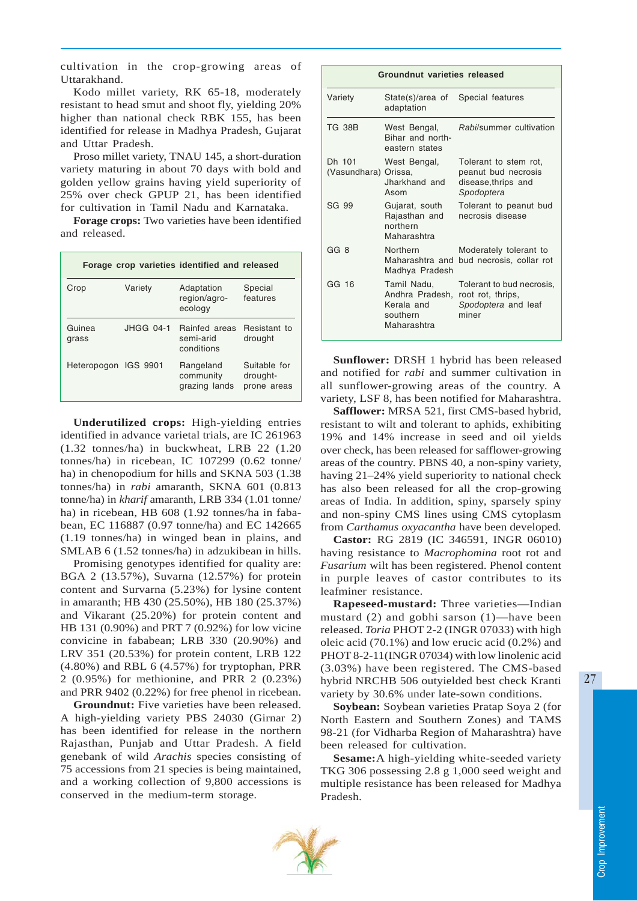cultivation in the crop-growing areas of Uttarakhand.

Kodo millet variety, RK 65-18, moderately resistant to head smut and shoot fly, yielding 20% higher than national check RBK 155, has been identified for release in Madhya Pradesh, Gujarat and Uttar Pradesh.

Proso millet variety, TNAU 145, a short-duration variety maturing in about 70 days with bold and golden yellow grains having yield superiority of 25% over check GPUP 21, has been identified for cultivation in Tamil Nadu and Karnataka.

**Forage crops:** Two varieties have been identified and released.

| Forage crop varieties identified and released |           |                                          |                                         |  |  |
|-----------------------------------------------|-----------|------------------------------------------|-----------------------------------------|--|--|
| Crop                                          | Variety   | Adaptation<br>region/agro-<br>ecology    | Special<br>features                     |  |  |
| Guinea<br>grass                               | JHGG 04-1 | Rainfed areas<br>semi-arid<br>conditions | Resistant to<br>drought                 |  |  |
| Heteropogon IGS 9901                          |           | Rangeland<br>community<br>grazing lands  | Suitable for<br>drought-<br>prone areas |  |  |

**Underutilized crops:** High-yielding entries identified in advance varietal trials, are IC 261963 (1.32 tonnes/ha) in buckwheat, LRB 22 (1.20 tonnes/ha) in ricebean, IC 107299 (0.62 tonne/ ha) in chenopodium for hills and SKNA 503 (1.38 tonnes/ha) in *rabi* amaranth, SKNA 601 (0.813 tonne/ha) in *kharif* amaranth, LRB 334 (1.01 tonne/ ha) in ricebean, HB 608 (1.92 tonnes/ha in fababean, EC 116887 (0.97 tonne/ha) and EC 142665 (1.19 tonnes/ha) in winged bean in plains, and SMLAB 6 (1.52 tonnes/ha) in adzukibean in hills.

Promising genotypes identified for quality are: BGA 2 (13.57%), Suvarna (12.57%) for protein content and Survarna (5.23%) for lysine content in amaranth; HB 430 (25.50%), HB 180 (25.37%) and Vikarant (25.20%) for protein content and HB 131 (0.90%) and PRT 7 (0.92%) for low vicine convicine in fababean; LRB 330 (20.90%) and LRV 351 (20.53%) for protein content, LRB 122 (4.80%) and RBL 6 (4.57%) for tryptophan, PRR 2 (0.95%) for methionine, and PRR 2 (0.23%) and PRR 9402 (0.22%) for free phenol in ricebean.

**Groundnut:** Five varieties have been released. A high-yielding variety PBS 24030 (Girnar 2) has been identified for release in the northern Rajasthan, Punjab and Uttar Pradesh. A field genebank of wild *Arachis* species consisting of 75 accessions from 21 species is being maintained, and a working collection of 9,800 accessions is conserved in the medium-term storage.

|                                | Groundnut varieties released                                            |                                                                                   |  |  |  |
|--------------------------------|-------------------------------------------------------------------------|-----------------------------------------------------------------------------------|--|--|--|
| Variety                        | State(s)/area of<br>adaptation                                          | Special features                                                                  |  |  |  |
| <b>TG 38B</b>                  | West Bengal,<br>Bihar and north-<br>eastern states                      | Rabi/summer cultivation                                                           |  |  |  |
| Dh 101<br>(Vasundhara) Orissa, | West Bengal,<br>Jharkhand and<br>Asom                                   | Tolerant to stem rot.<br>peanut bud necrosis<br>disease, thrips and<br>Spodoptera |  |  |  |
| SG 99                          | Gujarat, south<br>Rajasthan and<br>northern<br>Maharashtra              | Tolerant to peanut bud<br>necrosis disease                                        |  |  |  |
| GG <sub>8</sub>                | Northern<br>Maharashtra and<br>Madhya Pradesh                           | Moderately tolerant to<br>bud necrosis, collar rot                                |  |  |  |
| GG 16                          | Tamil Nadu,<br>Andhra Pradesh,<br>Kerala and<br>southern<br>Maharashtra | Tolerant to bud necrosis,<br>root rot, thrips,<br>Spodoptera and leaf<br>miner    |  |  |  |

**Sunflower:** DRSH 1 hybrid has been released and notified for *rabi* and summer cultivation in all sunflower-growing areas of the country. A variety, LSF 8, has been notified for Maharashtra.

**Safflower:** MRSA 521, first CMS-based hybrid, resistant to wilt and tolerant to aphids, exhibiting 19% and 14% increase in seed and oil yields over check, has been released for safflower-growing areas of the country. PBNS 40, a non-spiny variety, having 21–24% yield superiority to national check has also been released for all the crop-growing areas of India. In addition, spiny, sparsely spiny and non-spiny CMS lines using CMS cytoplasm from *Carthamus oxyacantha* have been developed*.*

**Castor:** RG 2819 (IC 346591, INGR 06010) having resistance to *Macrophomina* root rot and *Fusarium* wilt has been registered. Phenol content in purple leaves of castor contributes to its leafminer resistance.

**Rapeseed-mustard:** Three varieties—Indian mustard (2) and gobhi sarson (1)—have been released. *Toria* PHOT 2-2 (INGR 07033) with high oleic acid (70.1%) and low erucic acid (0.2%) and PHOT 8-2-11(INGR 07034) with low linolenic acid (3.03%) have been registered. The CMS-based hybrid NRCHB 506 outyielded best check Kranti variety by 30.6% under late-sown conditions.

**Soybean:** Soybean varieties Pratap Soya 2 (for North Eastern and Southern Zones) and TAMS 98-21 (for Vidharba Region of Maharashtra) have been released for cultivation.

**Sesame:**A high-yielding white-seeded variety TKG 306 possessing 2.8 g 1,000 seed weight and multiple resistance has been released for Madhya Pradesh.

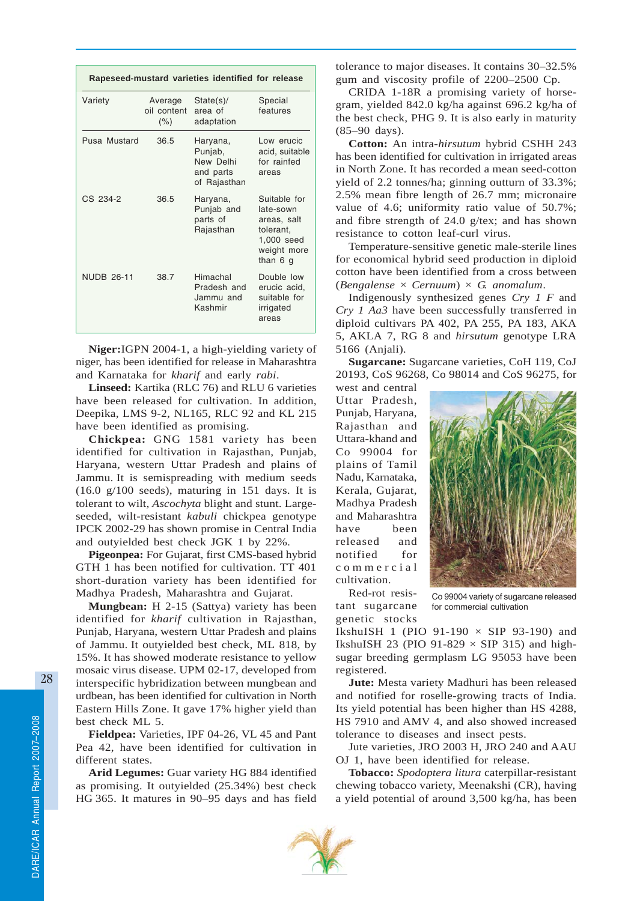| Rapeseed-mustard varieties identified for release |                                   |                                                               |                                                                                                |  |
|---------------------------------------------------|-----------------------------------|---------------------------------------------------------------|------------------------------------------------------------------------------------------------|--|
| Variety                                           | Average<br>oil content<br>$(\% )$ | State(s)<br>area of<br>adaptation                             | Special<br>features                                                                            |  |
| Pusa Mustard                                      | 36.5                              | Haryana,<br>Punjab,<br>New Delhi<br>and parts<br>of Rajasthan | Low erucic<br>acid, suitable<br>for rainfed<br>areas                                           |  |
| CS 234-2                                          | 36.5                              | Haryana,<br>Punjab and<br>parts of<br>Rajasthan               | Suitable for<br>late-sown<br>areas, salt<br>tolerant,<br>1,000 seed<br>weight more<br>than 6 g |  |
| <b>NUDB 26-11</b>                                 | 38.7                              | Himachal<br>Pradesh and<br>Jammu and<br>Kashmir               | Double low<br>erucic acid,<br>suitable for<br>irrigated<br>areas                               |  |

**Niger:**IGPN 2004-1, a high-yielding variety of niger, has been identified for release in Maharashtra and Karnataka for *kharif* and early *rabi*.

**Linseed:** Kartika (RLC 76) and RLU 6 varieties have been released for cultivation. In addition, Deepika, LMS 9-2, NL165, RLC 92 and KL 215 have been identified as promising.

**Chickpea:** GNG 1581 variety has been identified for cultivation in Rajasthan, Punjab, Haryana, western Uttar Pradesh and plains of Jammu. It is semispreading with medium seeds (16.0 g/100 seeds), maturing in 151 days. It is tolerant to wilt, *Ascochyta* blight and stunt. Largeseeded, wilt-resistant *kabuli* chickpea genotype IPCK 2002-29 has shown promise in Central India and outyielded best check JGK 1 by 22%.

**Pigeonpea:** For Gujarat, first CMS-based hybrid GTH 1 has been notified for cultivation. TT 401 short-duration variety has been identified for Madhya Pradesh, Maharashtra and Gujarat.

**Mungbean:** H 2-15 (Sattya) variety has been identified for *kharif* cultivation in Rajasthan, Punjab, Haryana, western Uttar Pradesh and plains of Jammu. It outyielded best check, ML 818, by 15%. It has showed moderate resistance to yellow mosaic virus disease. UPM 02-17, developed from interspecific hybridization between mungbean and urdbean, has been identified for cultivation in North Eastern Hills Zone. It gave 17% higher yield than best check ML 5.

**Fieldpea:** Varieties, IPF 04-26, VL 45 and Pant Pea 42, have been identified for cultivation in different states.

**Arid Legumes:** Guar variety HG 884 identified as promising. It outyielded (25.34%) best check HG 365. It matures in 90–95 days and has field tolerance to major diseases. It contains 30–32.5% gum and viscosity profile of 2200–2500 Cp.

CRIDA 1-18R a promising variety of horsegram, yielded 842.0 kg/ha against 696.2 kg/ha of the best check, PHG 9. It is also early in maturity (85–90 days).

**Cotton:** An intra-*hirsutum* hybrid CSHH 243 has been identified for cultivation in irrigated areas in North Zone. It has recorded a mean seed-cotton yield of 2.2 tonnes/ha; ginning outturn of 33.3%; 2.5% mean fibre length of 26.7 mm; micronaire value of 4.6; uniformity ratio value of 50.7%; and fibre strength of 24.0 g/tex; and has shown resistance to cotton leaf-curl virus.

Temperature-sensitive genetic male-sterile lines for economical hybrid seed production in diploid cotton have been identified from a cross between (*Bengalense* × *Cernuum*) × *G. anomalum*.

Indigenously synthesized genes *Cry 1 F* and *Cry 1 Aa3* have been successfully transferred in diploid cultivars PA 402, PA 255, PA 183, AKA 5, AKLA 7, RG 8 and *hirsutum* genotype LRA 5166 (Anjali).

**Sugarcane:** Sugarcane varieties, CoH 119, CoJ 20193, CoS 96268, Co 98014 and CoS 96275, for

west and central Uttar Pradesh, Punjab, Haryana, Rajasthan and Uttara-khand and Co 99004 for plains of Tamil Nadu, Karnataka, Kerala, Gujarat, Madhya Pradesh and Maharashtra have been released and notified for commercial cultivation.



Red-rot resistant sugarcane genetic stocks

Co 99004 variety of sugarcane released for commercial cultivation

IkshuISH 1 (PIO 91-190  $\times$  SIP 93-190) and IkshuISH 23 (PIO 91-829  $\times$  SIP 315) and highsugar breeding germplasm LG 95053 have been registered.

**Jute:** Mesta variety Madhuri has been released and notified for roselle-growing tracts of India. Its yield potential has been higher than HS 4288, HS 7910 and AMV 4, and also showed increased tolerance to diseases and insect pests.

Jute varieties, JRO 2003 H, JRO 240 and AAU OJ 1, have been identified for release.

**Tobacco:** *Spodoptera litura* caterpillar-resistant chewing tobacco variety, Meenakshi (CR), having a yield potential of around 3,500 kg/ha, has been

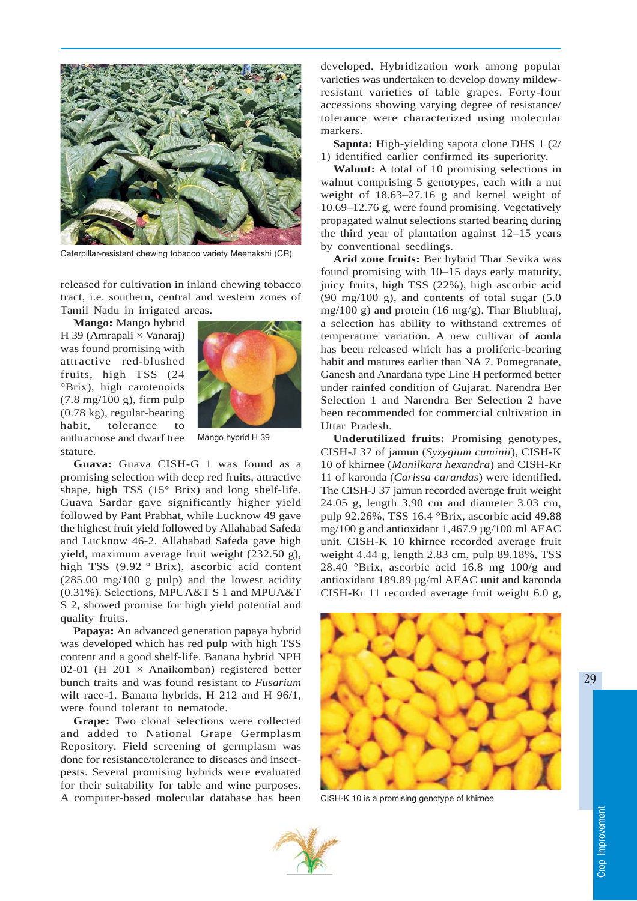

Caterpillar-resistant chewing tobacco variety Meenakshi (CR)

released for cultivation in inland chewing tobacco tract, i.e. southern, central and western zones of Tamil Nadu in irrigated areas.

**Mango:** Mango hybrid H 39 (Amrapali  $\times$  Vanaraj) was found promising with attractive red-blushed fruits, high TSS (24 °Brix), high carotenoids (7.8 mg/100 g), firm pulp (0.78 kg), regular-bearing habit, tolerance to anthracnose and dwarf tree stature.



Mango hybrid H 39

**Guava:** Guava CISH-G 1 was found as a promising selection with deep red fruits, attractive shape, high TSS (15° Brix) and long shelf-life. Guava Sardar gave significantly higher yield followed by Pant Prabhat, while Lucknow 49 gave the highest fruit yield followed by Allahabad Safeda and Lucknow 46-2. Allahabad Safeda gave high yield, maximum average fruit weight (232.50 g), high TSS (9.92 ° Brix), ascorbic acid content (285.00 mg/100 g pulp) and the lowest acidity (0.31%). Selections, MPUA&T S 1 and MPUA&T S 2, showed promise for high yield potential and quality fruits.

**Papaya:** An advanced generation papaya hybrid was developed which has red pulp with high TSS content and a good shelf-life. Banana hybrid NPH 02-01 (H 201  $\times$  Anaikomban) registered better bunch traits and was found resistant to *Fusarium* wilt race-1. Banana hybrids, H 212 and H 96/1, were found tolerant to nematode.

**Grape:** Two clonal selections were collected and added to National Grape Germplasm Repository. Field screening of germplasm was done for resistance/tolerance to diseases and insectpests. Several promising hybrids were evaluated for their suitability for table and wine purposes. A computer-based molecular database has been

developed. Hybridization work among popular varieties was undertaken to develop downy mildewresistant varieties of table grapes. Forty-four accessions showing varying degree of resistance/ tolerance were characterized using molecular markers.

**Sapota:** High-yielding sapota clone DHS 1 (2/ 1) identified earlier confirmed its superiority.

**Walnut:** A total of 10 promising selections in walnut comprising 5 genotypes, each with a nut weight of 18.63–27.16 g and kernel weight of 10.69–12.76 g, were found promising. Vegetatively propagated walnut selections started bearing during the third year of plantation against 12–15 years by conventional seedlings.

**Arid zone fruits:** Ber hybrid Thar Sevika was found promising with 10–15 days early maturity, juicy fruits, high TSS (22%), high ascorbic acid (90 mg/100 g), and contents of total sugar (5.0 mg/100 g) and protein (16 mg/g). Thar Bhubhraj, a selection has ability to withstand extremes of temperature variation. A new cultivar of aonla has been released which has a proliferic-bearing habit and matures earlier than NA 7. Pomegranate, Ganesh and Anardana type Line H performed better under rainfed condition of Gujarat. Narendra Ber Selection 1 and Narendra Ber Selection 2 have been recommended for commercial cultivation in Uttar Pradesh.

**Underutilized fruits:** Promising genotypes, CISH-J 37 of jamun (*Syzygium cuminii*), CISH-K 10 of khirnee (*Manilkara hexandra*) and CISH-Kr 11 of karonda (*Carissa carandas*) were identified. The CISH-J 37 jamun recorded average fruit weight 24.05 g, length 3.90 cm and diameter 3.03 cm, pulp 92.26%, TSS 16.4 °Brix, ascorbic acid 49.88 mg/100 g and antioxidant 1,467.9 µg/100 ml AEAC unit. CISH-K 10 khirnee recorded average fruit weight 4.44 g, length 2.83 cm, pulp 89.18%, TSS 28.40 °Brix, ascorbic acid 16.8 mg 100/g and antioxidant 189.89 µg/ml AEAC unit and karonda CISH-Kr 11 recorded average fruit weight 6.0 g,



CISH-K 10 is a promising genotype of khirnee

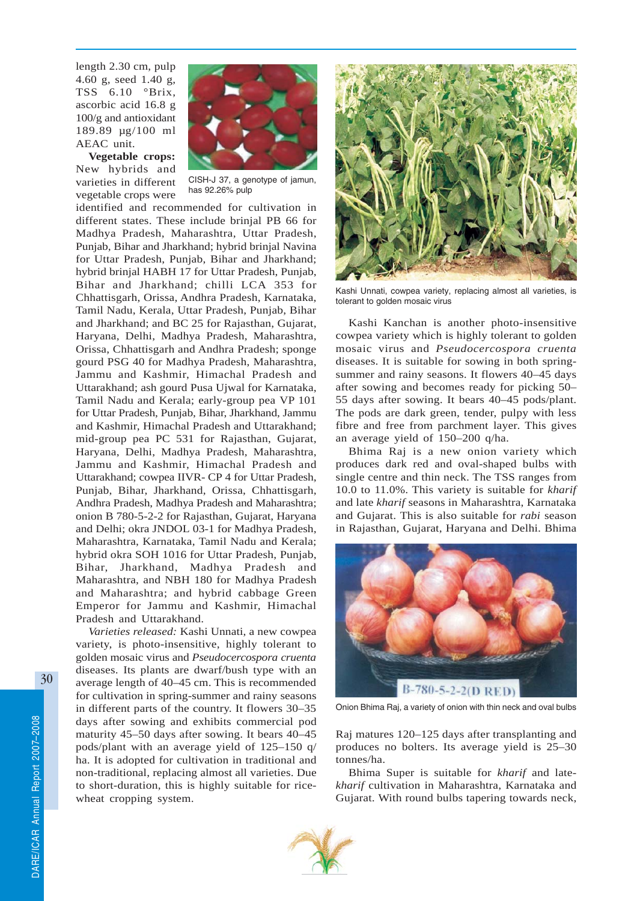length 2.30 cm, pulp 4.60 g, seed 1.40 g, TSS 6.10 °Brix, ascorbic acid 16.8 g 100/g and antioxidant 189.89 µg/100 ml AEAC unit.

**Vegetable crops:** New hybrids and varieties in different vegetable crops were



CISH-J 37, a genotype of jamun, has 92.26% pulp

identified and recommended for cultivation in different states. These include brinjal PB 66 for Madhya Pradesh, Maharashtra, Uttar Pradesh, Punjab, Bihar and Jharkhand; hybrid brinjal Navina for Uttar Pradesh, Punjab, Bihar and Jharkhand; hybrid brinjal HABH 17 for Uttar Pradesh, Punjab, Bihar and Jharkhand; chilli LCA 353 for Chhattisgarh, Orissa, Andhra Pradesh, Karnataka, Tamil Nadu, Kerala, Uttar Pradesh, Punjab, Bihar and Jharkhand; and BC 25 for Rajasthan, Gujarat, Haryana, Delhi, Madhya Pradesh, Maharashtra, Orissa, Chhattisgarh and Andhra Pradesh; sponge gourd PSG 40 for Madhya Pradesh, Maharashtra, Jammu and Kashmir, Himachal Pradesh and Uttarakhand; ash gourd Pusa Ujwal for Karnataka, Tamil Nadu and Kerala; early-group pea VP 101 for Uttar Pradesh, Punjab, Bihar, Jharkhand, Jammu and Kashmir, Himachal Pradesh and Uttarakhand; mid-group pea PC 531 for Rajasthan, Gujarat, Haryana, Delhi, Madhya Pradesh, Maharashtra, Jammu and Kashmir, Himachal Pradesh and Uttarakhand; cowpea IIVR- CP 4 for Uttar Pradesh, Punjab, Bihar, Jharkhand, Orissa, Chhattisgarh, Andhra Pradesh, Madhya Pradesh and Maharashtra; onion B 780-5-2-2 for Rajasthan, Gujarat, Haryana and Delhi; okra JNDOL 03-1 for Madhya Pradesh, Maharashtra, Karnataka, Tamil Nadu and Kerala; hybrid okra SOH 1016 for Uttar Pradesh, Punjab, Bihar, Jharkhand, Madhya Pradesh and Maharashtra, and NBH 180 for Madhya Pradesh and Maharashtra; and hybrid cabbage Green Emperor for Jammu and Kashmir, Himachal Pradesh and Uttarakhand.

*Varieties released:* Kashi Unnati, a new cowpea variety, is photo-insensitive, highly tolerant to golden mosaic virus and *Pseudocercospora cruenta* diseases. Its plants are dwarf/bush type with an average length of 40–45 cm. This is recommended for cultivation in spring-summer and rainy seasons in different parts of the country. It flowers 30–35 days after sowing and exhibits commercial pod maturity 45–50 days after sowing. It bears 40–45 pods/plant with an average yield of 125–150 q/ ha. It is adopted for cultivation in traditional and non-traditional, replacing almost all varieties. Due to short-duration, this is highly suitable for ricewheat cropping system.



Kashi Unnati, cowpea variety, replacing almost all varieties, is tolerant to golden mosaic virus

Kashi Kanchan is another photo-insensitive cowpea variety which is highly tolerant to golden mosaic virus and *Pseudocercospora cruenta* diseases. It is suitable for sowing in both springsummer and rainy seasons. It flowers 40–45 days after sowing and becomes ready for picking 50– 55 days after sowing. It bears 40–45 pods/plant. The pods are dark green, tender, pulpy with less fibre and free from parchment layer. This gives an average yield of 150–200 q/ha.

Bhima Raj is a new onion variety which produces dark red and oval-shaped bulbs with single centre and thin neck. The TSS ranges from 10.0 to 11.0%. This variety is suitable for *kharif* and late *kharif* seasons in Maharashtra, Karnataka and Gujarat. This is also suitable for *rabi* season in Rajasthan, Gujarat, Haryana and Delhi. Bhima



Onion Bhima Raj, a variety of onion with thin neck and oval bulbs

Raj matures 120–125 days after transplanting and produces no bolters. Its average yield is 25–30 tonnes/ha.

Bhima Super is suitable for *kharif* and late*kharif* cultivation in Maharashtra, Karnataka and Gujarat. With round bulbs tapering towards neck,

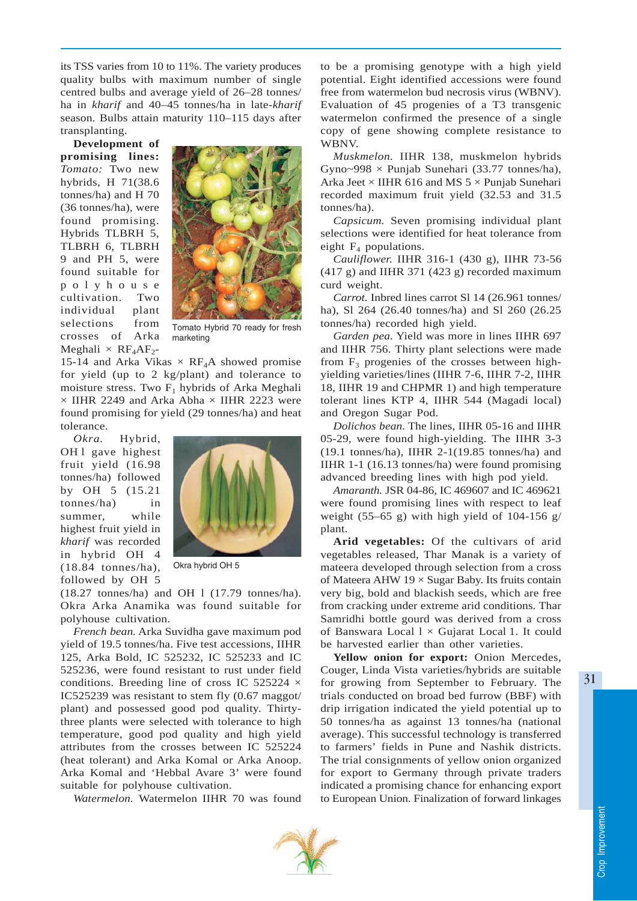its TSS varies from 10 to 11%. The variety produces quality bulbs with maximum number of single centred bulbs and average yield of 26–28 tonnes/ ha in *kharif* and 40–45 tonnes/ha in late-*kharif* season*.* Bulbs attain maturity 110–115 days after transplanting.

**Development of promising lines:** *Tomato:* Two new hybrids, H 71(38.6 tonnes/ha) and H 70 (36 tonnes/ha), were found promising. Hybrids TLBRH 5, TLBRH 6, TLBRH 9 and PH 5, were found suitable for polyhouse cultivation. Two individual plant selections from crosses of Arka Meghali  $\times$  RF<sub>4</sub>AF<sub>2</sub>-



Tomato Hybrid 70 ready for fresh marketing

15-14 and Arka Vikas  $\times$  RF<sub>4</sub>A showed promise for yield (up to 2 kg/plant) and tolerance to moisture stress. Two  $F_1$  hybrids of Arka Meghali  $\times$  IIHR 2249 and Arka Abha  $\times$  IIHR 2223 were found promising for yield (29 tonnes/ha) and heat tolerance.

*Okra.* Hybrid, OH<sub>1</sub> gave highest fruit yield (16.98 tonnes/ha) followed by OH 5 (15.21 tonnes/ha) in summer, while highest fruit yield in *kharif* was recorded in hybrid OH 4 (18.84 tonnes/ha), followed by OH 5



Okra hybrid OH 5

(18.27 tonnes/ha) and OH l (17.79 tonnes/ha). Okra Arka Anamika was found suitable for polyhouse cultivation.

*French bean.* Arka Suvidha gave maximum pod yield of 19.5 tonnes/ha. Five test accessions, IIHR 125, Arka Bold, IC 525232, IC 525233 and IC 525236, were found resistant to rust under field conditions. Breeding line of cross IC 525224 × IC525239 was resistant to stem fly (0.67 maggot/ plant) and possessed good pod quality. Thirtythree plants were selected with tolerance to high temperature, good pod quality and high yield attributes from the crosses between IC 525224 (heat tolerant) and Arka Komal or Arka Anoop. Arka Komal and 'Hebbal Avare 3' were found suitable for polyhouse cultivation.

*Watermelon.* Watermelon IIHR 70 was found

to be a promising genotype with a high yield potential. Eight identified accessions were found free from watermelon bud necrosis virus (WBNV). Evaluation of 45 progenies of a T3 transgenic watermelon confirmed the presence of a single copy of gene showing complete resistance to WBNV.

*Muskmelon.* IIHR 138, muskmelon hybrids Gyno~998  $\times$  Punjab Sunehari (33.77 tonnes/ha), Arka Jeet  $\times$  IIHR 616 and MS 5  $\times$  Punjab Sunehari recorded maximum fruit yield (32.53 and 31.5 tonnes/ha).

*Capsicum.* Seven promising individual plant selections were identified for heat tolerance from eight  $F_4$  populations.

*Cauliflower.* IIHR 316-1 (430 g), IIHR 73-56  $(417 \text{ g})$  and IIHR 371  $(423 \text{ g})$  recorded maximum curd weight.

*Carrot.* Inbred lines carrot Sl 14 (26.961 tonnes/ ha), Sl 264 (26.40 tonnes/ha) and Sl 260 (26.25 tonnes/ha) recorded high yield.

*Garden pea.* Yield was more in lines IIHR 697 and IIHR 756. Thirty plant selections were made from  $F_3$  progenies of the crosses between highyielding varieties/lines (IIHR 7-6, IIHR 7-2, IIHR 18, IIHR 19 and CHPMR 1) and high temperature tolerant lines KTP 4, IIHR 544 (Magadi local) and Oregon Sugar Pod.

*Dolichos bean.* The lines, IIHR 05-16 and IIHR 05-29, were found high-yielding. The IIHR 3-3 (19.1 tonnes/ha), IIHR 2-1(19.85 tonnes/ha) and IIHR 1-1 (16.13 tonnes/ha) were found promising advanced breeding lines with high pod yield.

*Amaranth.* JSR 04-86, IC 469607 and IC 469621 were found promising lines with respect to leaf weight  $(55-65)$  g) with high yield of 104-156 g/ plant.

**Arid vegetables:** Of the cultivars of arid vegetables released, Thar Manak is a variety of mateera developed through selection from a cross of Mateera AHW  $19 \times$  Sugar Baby. Its fruits contain very big, bold and blackish seeds, which are free from cracking under extreme arid conditions. Thar Samridhi bottle gourd was derived from a cross of Banswara Local  $1 \times$  Gujarat Local 1. It could be harvested earlier than other varieties.

**Yellow onion for export:** Onion Mercedes, Couger, Linda Vista varieties/hybrids are suitable for growing from September to February. The trials conducted on broad bed furrow (BBF) with drip irrigation indicated the yield potential up to 50 tonnes/ha as against 13 tonnes/ha (national average). This successful technology is transferred to farmers' fields in Pune and Nashik districts. The trial consignments of yellow onion organized for export to Germany through private traders indicated a promising chance for enhancing export to European Union. Finalization of forward linkages

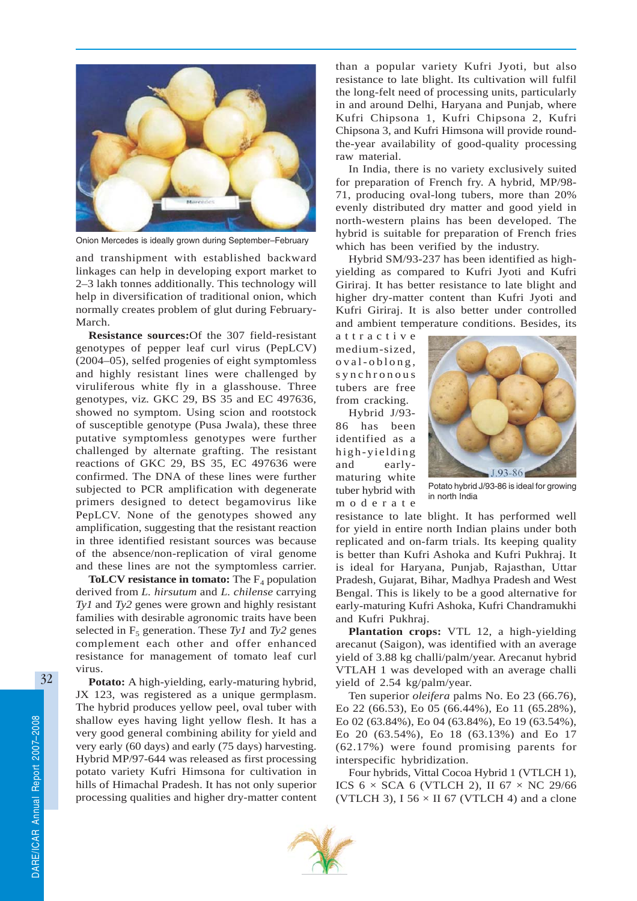

Onion Mercedes is ideally grown during September–February

and transhipment with established backward linkages can help in developing export market to 2–3 lakh tonnes additionally. This technology will help in diversification of traditional onion, which normally creates problem of glut during February-March.

**Resistance sources:**Of the 307 field-resistant genotypes of pepper leaf curl virus (PepLCV) (2004–05), selfed progenies of eight symptomless and highly resistant lines were challenged by viruliferous white fly in a glasshouse. Three genotypes, viz*.* GKC 29, BS 35 and EC 497636, showed no symptom. Using scion and rootstock of susceptible genotype (Pusa Jwala), these three putative symptomless genotypes were further challenged by alternate grafting. The resistant reactions of GKC 29, BS 35, EC 497636 were confirmed. The DNA of these lines were further subjected to PCR amplification with degenerate primers designed to detect begamovirus like PepLCV. None of the genotypes showed any amplification, suggesting that the resistant reaction in three identified resistant sources was because of the absence/non-replication of viral genome and these lines are not the symptomless carrier.

**ToLCV resistance in tomato:** The  $F_4$  population derived from *L. hirsutum* and *L. chilense* carrying *Ty1* and *Ty2* genes were grown and highly resistant families with desirable agronomic traits have been selected in  $F_5$  generation. These  $Ty1$  and  $Ty2$  genes complement each other and offer enhanced resistance for management of tomato leaf curl virus.

**Potato:** A high-yielding, early-maturing hybrid, JX 123, was registered as a unique germplasm. The hybrid produces yellow peel, oval tuber with shallow eyes having light yellow flesh. It has a very good general combining ability for yield and very early (60 days) and early (75 days) harvesting. Hybrid MP/97-644 was released as first processing potato variety Kufri Himsona for cultivation in hills of Himachal Pradesh. It has not only superior processing qualities and higher dry-matter content

than a popular variety Kufri Jyoti, but also resistance to late blight. Its cultivation will fulfil the long-felt need of processing units, particularly in and around Delhi, Haryana and Punjab, where Kufri Chipsona 1, Kufri Chipsona 2, Kufri Chipsona 3, and Kufri Himsona will provide roundthe-year availability of good-quality processing raw material.

In India, there is no variety exclusively suited for preparation of French fry. A hybrid, MP/98- 71, producing oval-long tubers, more than 20% evenly distributed dry matter and good yield in north-western plains has been developed. The hybrid is suitable for preparation of French fries which has been verified by the industry.

Hybrid SM/93-237 has been identified as highyielding as compared to Kufri Jyoti and Kufri Giriraj. It has better resistance to late blight and higher dry-matter content than Kufri Jyoti and Kufri Giriraj. It is also better under controlled and ambient temperature conditions. Besides, its

attractive medium-sized, oval-oblong, synchronous tubers are free from cracking.

Hybrid J/93- 86 has been identified as a high-yielding and earlymaturing white tuber hybrid with moderate



Potato hybrid J/93-86 is ideal for growing in north India

resistance to late blight. It has performed well for yield in entire north Indian plains under both replicated and on-farm trials. Its keeping quality is better than Kufri Ashoka and Kufri Pukhraj. It is ideal for Haryana, Punjab, Rajasthan, Uttar Pradesh, Gujarat, Bihar, Madhya Pradesh and West Bengal. This is likely to be a good alternative for early-maturing Kufri Ashoka, Kufri Chandramukhi and Kufri Pukhraj.

**Plantation crops:** VTL 12, a high-yielding arecanut (Saigon), was identified with an average yield of 3.88 kg challi/palm/year. Arecanut hybrid VTLAH 1 was developed with an average challi yield of 2.54 kg/palm/year.

Ten superior *oleifera* palms No. Eo 23 (66.76), Eo 22 (66.53), Eo 05 (66.44%), Eo 11 (65.28%), Eo 02 (63.84%), Eo 04 (63.84%), Eo 19 (63.54%), Eo 20 (63.54%), Eo 18 (63.13%) and Eo 17 (62.17%) were found promising parents for interspecific hybridization.

Four hybrids, Vittal Cocoa Hybrid 1 (VTLCH 1), ICS  $6 \times$  SCA 6 (VTLCH 2), II  $67 \times$  NC 29/66 (VTLCH 3), I 56  $\times$  II 67 (VTLCH 4) and a clone

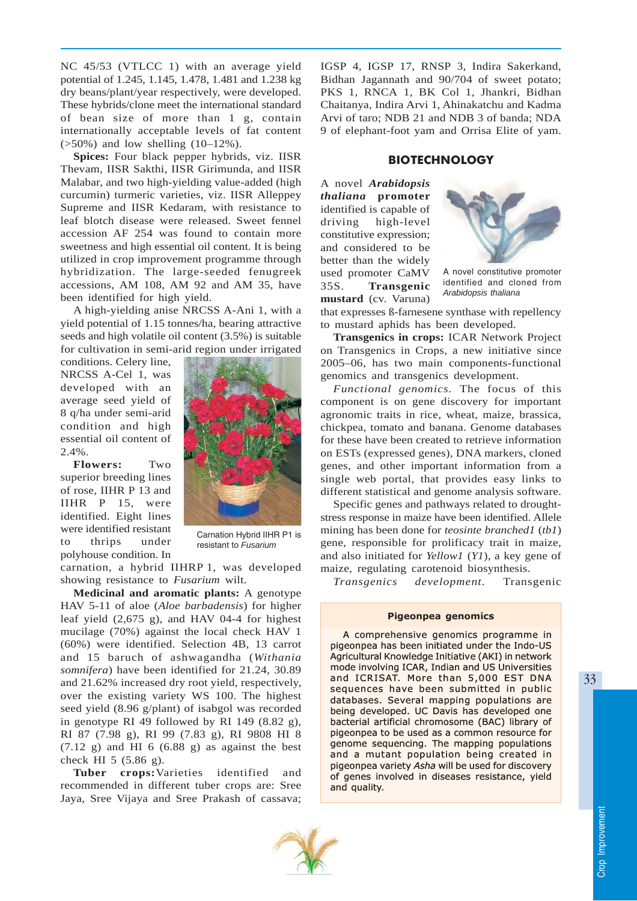NC 45/53 (VTLCC 1) with an average yield potential of 1.245, 1.145, 1.478, 1.481 and 1.238 kg dry beans/plant/year respectively, were developed. These hybrids/clone meet the international standard of bean size of more than 1 g, contain internationally acceptable levels of fat content  $($ >50%) and low shelling  $(10-12%)$ .

**Spices:** Four black pepper hybrids, viz. IISR Thevam, IISR Sakthi, IISR Girimunda, and IISR Malabar, and two high-yielding value-added (high curcumin) turmeric varieties, viz. IISR Alleppey Supreme and IISR Kedaram, with resistance to leaf blotch disease were released. Sweet fennel accession AF 254 was found to contain more sweetness and high essential oil content. It is being utilized in crop improvement programme through hybridization. The large-seeded fenugreek accessions, AM 108, AM 92 and AM 35, have been identified for high yield.

A high-yielding anise NRCSS A-Ani 1, with a yield potential of 1.15 tonnes/ha, bearing attractive seeds and high volatile oil content (3.5%) is suitable for cultivation in semi-arid region under irrigated

conditions. Celery line, NRCSS A-Cel 1, was developed with an average seed yield of 8 q/ha under semi-arid condition and high essential oil content of 2.4%.

**Flowers:** Two superior breeding lines of rose, IIHR P 13 and IIHR P 15, were identified. Eight lines were identified resistant to thrips under polyhouse condition. In



Carnation Hybrid IIHR P1 is resistant to *Fusarium*

carnation, a hybrid IIHRP 1, was developed showing resistance to *Fusarium* wilt.

**Medicinal and aromatic plants:** A genotype HAV 5-11 of aloe (*Aloe barbadensis*) for higher leaf yield (2,675 g), and HAV 04-4 for highest mucilage (70%) against the local check HAV 1 (60%) were identified. Selection 4B, 13 carrot and 15 baruch of ashwagandha (*Withania somnifera*) have been identified for 21.24, 30.89 and 21.62% increased dry root yield, respectively, over the existing variety WS 100. The highest seed yield (8.96 g/plant) of isabgol was recorded in genotype RI 49 followed by RI 149 (8.82 g), RI 87 (7.98 g), RI 99 (7.83 g), RI 9808 HI 8  $(7.12 \text{ g})$  and HI 6  $(6.88 \text{ g})$  as against the best check HI 5 (5.86 g).

**Tuber crops:**Varieties identified and recommended in different tuber crops are: Sree Jaya, Sree Vijaya and Sree Prakash of cassava; IGSP 4, IGSP 17, RNSP 3, Indira Sakerkand, Bidhan Jagannath and 90/704 of sweet potato; PKS 1, RNCA 1, BK Col 1, Jhankri, Bidhan Chaitanya, Indira Arvi 1, Ahinakatchu and Kadma Arvi of taro; NDB 21 and NDB 3 of banda; NDA 9 of elephant-foot yam and Orrisa Elite of yam.

## **BIOTECHNOLOGY**

A novel *Arabidopsis thaliana* **promoter** identified is capable of driving high-level constitutive expression; and considered to be better than the widely used promoter CaMV 35S. **Transgenic mustard** (cv. Varuna)



A novel constitutive promoter identified and cloned from *Arabidopsis thaliana*

that expresses ß-farnesene synthase with repellency to mustard aphids has been developed.

**Transgenics in crops:** ICAR Network Project on Transgenics in Crops, a new initiative since 2005–06, has two main components-functional genomics and transgenics development.

*Functional genomics.* The focus of this component is on gene discovery for important agronomic traits in rice, wheat, maize, brassica, chickpea, tomato and banana. Genome databases for these have been created to retrieve information on ESTs (expressed genes), DNA markers, cloned genes, and other important information from a single web portal, that provides easy links to different statistical and genome analysis software.

Specific genes and pathways related to droughtstress response in maize have been identified. Allele mining has been done for *teosinte branched1* (*tb1*) gene, responsible for prolificacy trait in maize, and also initiated for *Yellow1* (*Y1*), a key gene of maize, regulating carotenoid biosynthesis.

*Transgenics development.* Transgenic

#### Pigeonpea genomics

A comprehensive genomics programme in pigeonpea has been initiated under the Indo-US Agricultural Knowledge Initiative (AKI) in network mode involving ICAR, Indian and US Universities and ICRISAT. More than 5,000 EST DNA sequences have been submitted in public databases. Several mapping populations are being developed. UC Davis has developed one bacterial artificial chromosome (BAC) library of pigeonpea to be used as a common resource for genome sequencing. The mapping populations and a mutant population being created in pigeonpea variety Asha will be used for discovery of genes involved in diseases resistance, yield and quality.

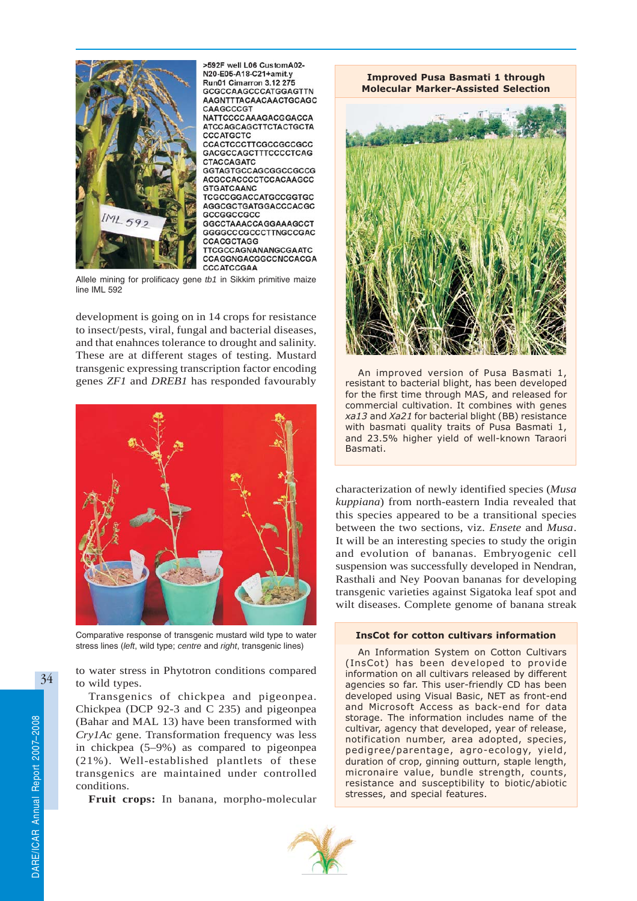

>592F well L06 CustomA02-N20-E05-A18-C21+amit.v Run01 Cimarron 3.12 275 GCGCCAAGCCCATGGAGTTN AAGNTTTACAACAACTGCAGC CAAGCCCGT NATTCCCCAAAGACGGACCA **ATCCAGCAGCTTCTACTGCTA CCCATGCTC** CCACTCCCTTCGCCGCCGCC GACGCCAGCTTTCCCCTCAG **CTACCAGATC** GGTAGTGCCAGCGGCCGCCG ACGCCACCCCTCCACAAGCC **GTGATCAANC** TCGCCGGACCATGCCGGTGC AGGCGCTGATGGACCCACGC GCCGGCCGCC GGCCTAAACCAGGAAAGCCT GGGGCCCGCCTTNGCCGAC **CCACGCTAGG** TTCGCCAGNANANGCGAATC CCAGGNGACGGCCNCCACGA

Allele mining for prolificacy gene *tb1* in Sikkim primitive maize line IML 592

development is going on in 14 crops for resistance to insect/pests, viral, fungal and bacterial diseases, and that enahnces tolerance to drought and salinity. These are at different stages of testing. Mustard transgenic expressing transcription factor encoding genes *ZF1* and *DREB1* has responded favourably



Comparative response of transgenic mustard wild type to water stress lines (*left*, wild type; *centre* and *right*, transgenic lines)

to water stress in Phytotron conditions compared to wild types.

Transgenics of chickpea and pigeonpea. Chickpea (DCP 92-3 and C 235) and pigeonpea (Bahar and MAL 13) have been transformed with *Cry1Ac* gene. Transformation frequency was less in chickpea (5–9%) as compared to pigeonpea (21%). Well-established plantlets of these transgenics are maintained under controlled conditions.

**Fruit crops:** In banana, morpho-molecular

Improved Pusa Basmati 1 through Molecular Marker-Assisted Selection



An improved version of Pusa Basmati 1, resistant to bacterial blight, has been developed for the first time through MAS, and released for commercial cultivation. It combines with genes xa13 and Xa21 for bacterial blight (BB) resistance with basmati quality traits of Pusa Basmati 1, and 23.5% higher yield of well-known Taraori Basmati.

characterization of newly identified species (*Musa kuppiana*) from north-eastern India revealed that this species appeared to be a transitional species between the two sections, viz. *Ensete* and *Musa*. It will be an interesting species to study the origin and evolution of bananas. Embryogenic cell suspension was successfully developed in Nendran, Rasthali and Ney Poovan bananas for developing transgenic varieties against Sigatoka leaf spot and wilt diseases. Complete genome of banana streak

### InsCot for cotton cultivars information

An Information System on Cotton Cultivars (InsCot) has been developed to provide information on all cultivars released by different agencies so far. This user-friendly CD has been developed using Visual Basic, NET as front-end and Microsoft Access as back-end for data storage. The information includes name of the cultivar, agency that developed, year of release, notification number, area adopted, species, pedigree/parentage, agro-ecology, yield, duration of crop, ginning outturn, staple length, micronaire value, bundle strength, counts, resistance and susceptibility to biotic/abiotic stresses, and special features.

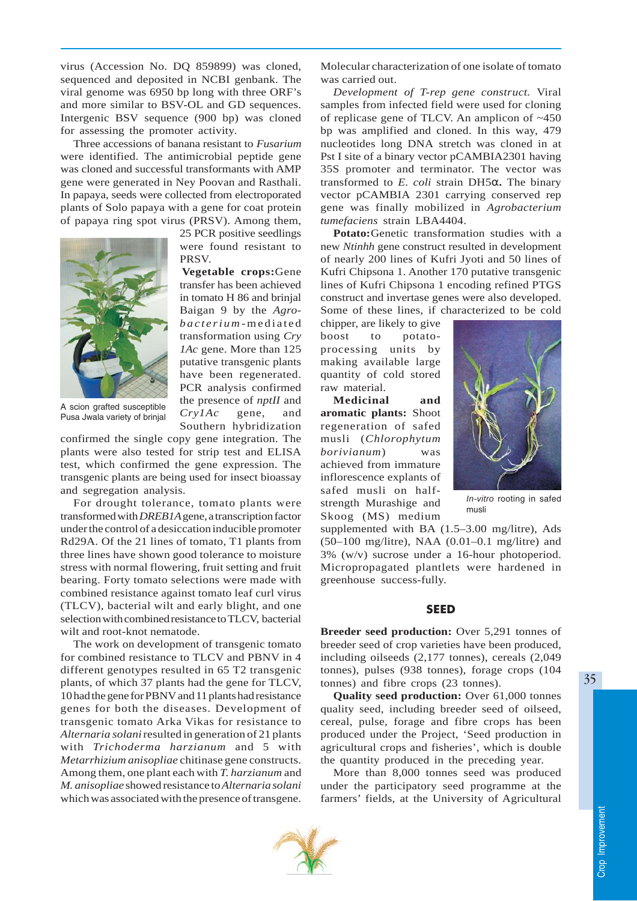virus (Accession No. DQ 859899) was cloned, sequenced and deposited in NCBI genbank. The viral genome was 6950 bp long with three ORF's and more similar to BSV-OL and GD sequences. Intergenic BSV sequence (900 bp) was cloned for assessing the promoter activity.

Three accessions of banana resistant to *Fusarium* were identified. The antimicrobial peptide gene was cloned and successful transformants with AMP gene were generated in Ney Poovan and Rasthali. In papaya, seeds were collected from electroporated plants of Solo papaya with a gene for coat protein of papaya ring spot virus (PRSV). Among them,

PRSV.

25 PCR positive seedlings were found resistant to

**Vegetable crops:**Gene transfer has been achieved in tomato H 86 and brinjal Baigan 9 by the *Agrobacterium* -mediated transformation using *Cry 1Ac* gene. More than 125 putative transgenic plants have been regenerated. PCR analysis confirmed the presence of *nptII* and *Cry1Ac* gene, and Southern hybridization



A scion grafted susceptible Pusa Jwala variety of brinjal

confirmed the single copy gene integration. The plants were also tested for strip test and ELISA test, which confirmed the gene expression. The transgenic plants are being used for insect bioassay and segregation analysis.

For drought tolerance, tomato plants were transformed with *DREB1A* gene, a transcription factor under the control of a desiccation inducible promoter Rd29A. Of the 21 lines of tomato, T1 plants from three lines have shown good tolerance to moisture stress with normal flowering, fruit setting and fruit bearing. Forty tomato selections were made with combined resistance against tomato leaf curl virus (TLCV), bacterial wilt and early blight, and one selection with combined resistance to TLCV, bacterial wilt and root-knot nematode.

The work on development of transgenic tomato for combined resistance to TLCV and PBNV in 4 different genotypes resulted in 65 T2 transgenic plants, of which 37 plants had the gene for TLCV, 10 had the gene for PBNV and 11 plants had resistance genes for both the diseases. Development of transgenic tomato Arka Vikas for resistance to *Alternaria solani* resulted in generation of 21 plants with *Trichoderma harzianum* and 5 with *Metarrhizium anisopliae* chitinase gene constructs. Among them, one plant each with *T. harzianum* and *M. anisopliae* showed resistance to *Alternaria solani* which was associated with the presence of transgene.

Molecular characterization of one isolate of tomato was carried out.

*Development of T-rep gene construct.* Viral samples from infected field were used for cloning of replicase gene of TLCV. An amplicon of ~450 bp was amplified and cloned. In this way, 479 nucleotides long DNA stretch was cloned in at Pst I site of a binary vector pCAMBIA2301 having 35S promoter and terminator. The vector was transformed to *E. coli* strain DH5α**.** The binary vector pCAMBIA 2301 carrying conserved rep gene was finally mobilized in *Agrobacterium tumefaciens* strain LBA4404.

**Potato:**Genetic transformation studies with a new *Ntinhh* gene construct resulted in development of nearly 200 lines of Kufri Jyoti and 50 lines of Kufri Chipsona 1. Another 170 putative transgenic lines of Kufri Chipsona 1 encoding refined PTGS construct and invertase genes were also developed. Some of these lines, if characterized to be cold

chipper, are likely to give boost to potatoprocessing units by making available large quantity of cold stored raw material.

**Medicinal and aromatic plants:** Shoot regeneration of safed musli (*Chlorophytum borivianum*) was achieved from immature inflorescence explants of safed musli on halfstrength Murashige and Skoog (MS) medium



*In-vitro* rooting in safed musli

supplemented with BA (1.5–3.00 mg/litre), Ads (50–100 mg/litre), NAA (0.01–0.1 mg/litre) and 3% (w/v) sucrose under a 16-hour photoperiod. Micropropagated plantlets were hardened in greenhouse success-fully.

#### SEED

**Breeder seed production:** Over 5,291 tonnes of breeder seed of crop varieties have been produced, including oilseeds (2,177 tonnes), cereals (2,049 tonnes), pulses (938 tonnes), forage crops (104 tonnes) and fibre crops (23 tonnes).

**Quality seed production:** Over 61,000 tonnes quality seed, including breeder seed of oilseed, cereal, pulse, forage and fibre crops has been produced under the Project, 'Seed production in agricultural crops and fisheries', which is double the quantity produced in the preceding year.

More than 8,000 tonnes seed was produced under the participatory seed programme at the farmers' fields, at the University of Agricultural